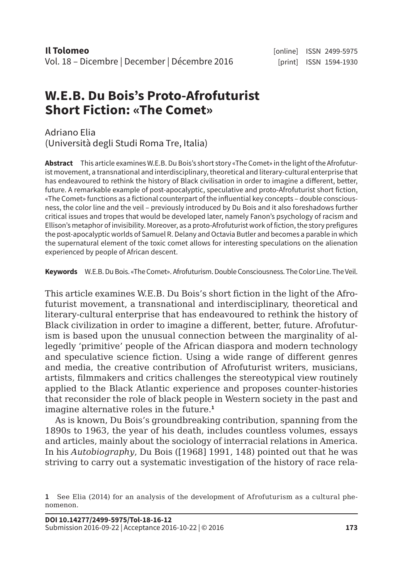## **W.E.B. Du Bois's Proto-Afrofuturist Short Fiction: «The Comet»**

Adriano Elia (Università degli Studi Roma Tre, Italia)

**Abstract** This article examines W.E.B. Du Bois's short story «The Comet» in the light of the Afrofuturist movement, a transnational and interdisciplinary, theoretical and literary-cultural enterprise that has endeavoured to rethink the history of Black civilisation in order to imagine a different, better, future. A remarkable example of post-apocalyptic, speculative and proto-Afrofuturist short fiction, «The Comet» functions as a fictional counterpart of the influential key concepts – double consciousness, the color line and the veil – previously introduced by Du Bois and it also foreshadows further critical issues and tropes that would be developed later, namely Fanon's psychology of racism and Ellison's metaphor of invisibility. Moreover, as a proto-Afrofuturist work of fiction, the story prefigures the post-apocalyptic worlds of Samuel R. Delany and Octavia Butler and becomes a parable in which the supernatural element of the toxic comet allows for interesting speculations on the alienation experienced by people of African descent.

**Keywords** W.E.B. Du Bois. «The Comet». Afrofuturism. Double Consciousness. The Color Line. The Veil.

This article examines W.E.B. Du Bois's short fiction in the light of the Afrofuturist movement, a transnational and interdisciplinary, theoretical and literary-cultural enterprise that has endeavoured to rethink the history of Black civilization in order to imagine a different, better, future. Afrofuturism is based upon the unusual connection between the marginality of allegedly 'primitive' people of the African diaspora and modern technology and speculative science fiction. Using a wide range of different genres and media, the creative contribution of Afrofuturist writers, musicians, artists, filmmakers and critics challenges the stereotypical view routinely applied to the Black Atlantic experience and proposes counter-histories that reconsider the role of black people in Western society in the past and imagine alternative roles in the future.**<sup>1</sup>**

As is known, Du Bois's groundbreaking contribution, spanning from the 1890s to 1963, the year of his death, includes countless volumes, essays and articles, mainly about the sociology of interracial relations in America. In his *Autobiography*, Du Bois ([1968] 1991, 148) pointed out that he was striving to carry out a systematic investigation of the history of race rela-

**<sup>1</sup>** See Elia (2014) for an analysis of the development of Afrofuturism as a cultural phenomenon.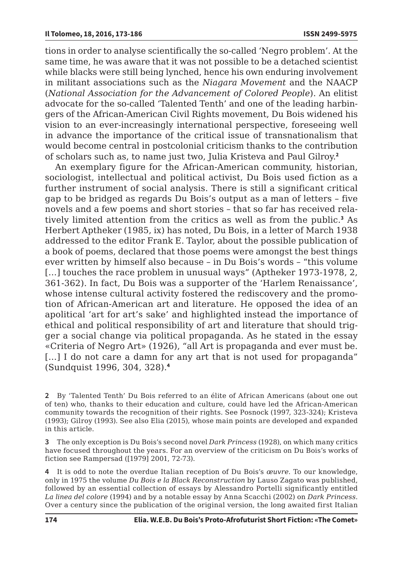tions in order to analyse scientifically the so-called 'Negro problem'. At the same time, he was aware that it was not possible to be a detached scientist while blacks were still being lynched, hence his own enduring involvement in militant associations such as the *Niagara Movement* and the NAACP (*National Association for the Advancement of Colored People*). An elitist advocate for the so-called 'Talented Tenth' and one of the leading harbingers of the African-American Civil Rights movement, Du Bois widened his vision to an ever-increasingly international perspective, foreseeing well in advance the importance of the critical issue of transnationalism that would become central in postcolonial criticism thanks to the contribution of scholars such as, to name just two, Julia Kristeva and Paul Gilroy.**<sup>2</sup>**

An exemplary figure for the African-American community, historian, sociologist, intellectual and political activist, Du Bois used fiction as a further instrument of social analysis. There is still a significant critical gap to be bridged as regards Du Bois's output as a man of letters – five novels and a few poems and short stories – that so far has received relatively limited attention from the critics as well as from the public.**<sup>3</sup>** As Herbert Aptheker (1985, ix) has noted, Du Bois, in a letter of March 1938 addressed to the editor Frank E. Taylor, about the possible publication of a book of poems, declared that those poems were amongst the best things ever written by himself also because – in Du Bois's words – "this volume [...] touches the race problem in unusual ways" (Aptheker 1973-1978, 2, 361-362). In fact, Du Bois was a supporter of the 'Harlem Renaissance', whose intense cultural activity fostered the rediscovery and the promotion of African-American art and literature. He opposed the idea of an apolitical 'art for art's sake' and highlighted instead the importance of ethical and political responsibility of art and literature that should trigger a social change via political propaganda. As he stated in the essay «Criteria of Negro Art» (1926), "all Art is propaganda and ever must be. [...] I do not care a damn for any art that is not used for propaganda" (Sundquist 1996, 304, 328).**<sup>4</sup>**

**2** By 'Talented Tenth' Du Bois referred to an élite of African Americans (about one out of ten) who, thanks to their education and culture, could have led the African-American community towards the recognition of their rights. See Posnock (1997, 323-324); Kristeva (1993); Gilroy (1993). See also Elia (2015), whose main points are developed and expanded in this article.

**3** The only exception is Du Bois's second novel *Dark Princess* (1928), on which many critics have focused throughout the years. For an overview of the criticism on Du Bois's works of fiction see Rampersad ([1979] 2001, 72-73).

**4** It is odd to note the overdue Italian reception of Du Bois's *œuvre*. To our knowledge, only in 1975 the volume *Du Bois e la Black Reconstruction* by Lauso Zagato was published, followed by an essential collection of essays by Alessandro Portelli significantly entitled *La linea del colore* (1994) and by a notable essay by Anna Scacchi (2002) on *Dark Princess*. Over a century since the publication of the original version, the long awaited first Italian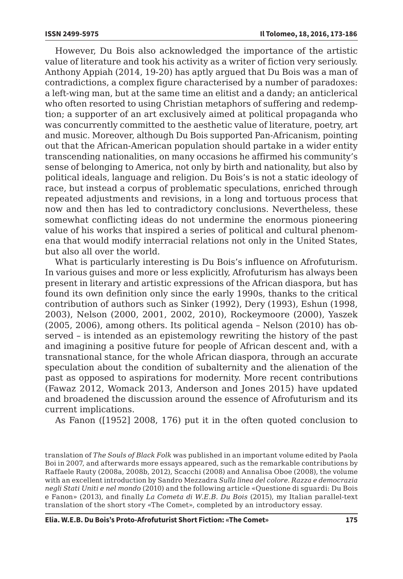However, Du Bois also acknowledged the importance of the artistic value of literature and took his activity as a writer of fiction very seriously. Anthony Appiah (2014, 19-20) has aptly argued that Du Bois was a man of contradictions, a complex figure characterised by a number of paradoxes: a left-wing man, but at the same time an elitist and a dandy; an anticlerical who often resorted to using Christian metaphors of suffering and redemption; a supporter of an art exclusively aimed at political propaganda who was concurrently committed to the aesthetic value of literature, poetry, art and music. Moreover, although Du Bois supported Pan-Africanism, pointing out that the African-American population should partake in a wider entity transcending nationalities, on many occasions he affirmed his community's sense of belonging to America, not only by birth and nationality, but also by political ideals, language and religion. Du Bois's is not a static ideology of race, but instead a corpus of problematic speculations, enriched through repeated adjustments and revisions, in a long and tortuous process that now and then has led to contradictory conclusions. Nevertheless, these somewhat conflicting ideas do not undermine the enormous pioneering value of his works that inspired a series of political and cultural phenomena that would modify interracial relations not only in the United States, but also all over the world.

What is particularly interesting is Du Bois's influence on Afrofuturism. In various guises and more or less explicitly, Afrofuturism has always been present in literary and artistic expressions of the African diaspora, but has found its own definition only since the early 1990s, thanks to the critical contribution of authors such as Sinker (1992), Dery (1993), Eshun (1998, 2003), Nelson (2000, 2001, 2002, 2010), Rockeymoore (2000), Yaszek (2005, 2006), among others. Its political agenda – Nelson (2010) has observed – is intended as an epistemology rewriting the history of the past and imagining a positive future for people of African descent and, with a transnational stance, for the whole African diaspora, through an accurate speculation about the condition of subalternity and the alienation of the past as opposed to aspirations for modernity. More recent contributions (Fawaz 2012, Womack 2013, Anderson and Jones 2015) have updated and broadened the discussion around the essence of Afrofuturism and its current implications.

As Fanon ([1952] 2008, 176) put it in the often quoted conclusion to

translation of *The Souls of Black Folk* was published in an important volume edited by Paola Boi in 2007, and afterwards more essays appeared, such as the remarkable contributions by Raffaele Rauty (2008a, 2008b, 2012), Scacchi (2008) and Annalisa Oboe (2008), the volume with an excellent introduction by Sandro Mezzadra *Sulla linea del colore. Razza e democrazia negli Stati Uniti e nel mondo* (2010) and the following article «Questione di sguardi: Du Bois e Fanon» (2013), and finally *La Cometa di W.E.B. Du Bois* (2015), my Italian parallel-text translation of the short story «The Comet», completed by an introductory essay.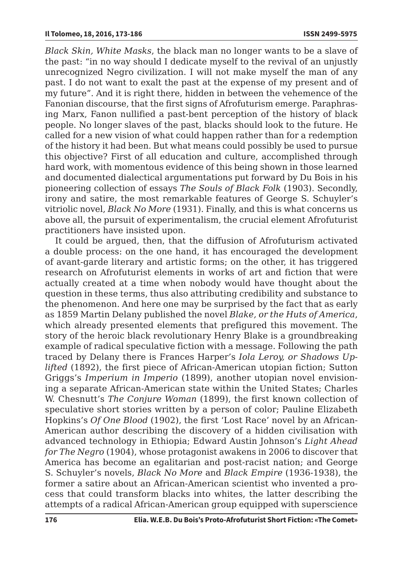*Black Skin, White Masks*, the black man no longer wants to be a slave of the past: "in no way should I dedicate myself to the revival of an unjustly unrecognized Negro civilization. I will not make myself the man of any past. I do not want to exalt the past at the expense of my present and of my future". And it is right there, hidden in between the vehemence of the Fanonian discourse, that the first signs of Afrofuturism emerge. Paraphrasing Marx, Fanon nullified a past-bent perception of the history of black people. No longer slaves of the past, blacks should look to the future. He called for a new vision of what could happen rather than for a redemption of the history it had been. But what means could possibly be used to pursue this objective? First of all education and culture, accomplished through hard work, with momentous evidence of this being shown in those learned and documented dialectical argumentations put forward by Du Bois in his pioneering collection of essays *The Souls of Black Folk* (1903). Secondly, irony and satire, the most remarkable features of George S. Schuyler's vitriolic novel, *Black No More* (1931). Finally, and this is what concerns us above all, the pursuit of experimentalism, the crucial element Afrofuturist practitioners have insisted upon.

It could be argued, then, that the diffusion of Afrofuturism activated a double process: on the one hand, it has encouraged the development of avant-garde literary and artistic forms; on the other, it has triggered research on Afrofuturist elements in works of art and fiction that were actually created at a time when nobody would have thought about the question in these terms, thus also attributing credibility and substance to the phenomenon. And here one may be surprised by the fact that as early as 1859 Martin Delany published the novel *Blake, or the Huts of America*, which already presented elements that prefigured this movement. The story of the heroic black revolutionary Henry Blake is a groundbreaking example of radical speculative fiction with a message. Following the path traced by Delany there is Frances Harper's *Iola Leroy, or Shadows Uplifted* (1892), the first piece of African-American utopian fiction; Sutton Griggs's *Imperium in Imperio* (1899), another utopian novel envisioning a separate African-American state within the United States; Charles W. Chesnutt's *The Conjure Woman* (1899), the first known collection of speculative short stories written by a person of color; Pauline Elizabeth Hopkins's *Of One Blood* (1902), the first 'Lost Race' novel by an African-American author describing the discovery of a hidden civilisation with advanced technology in Ethiopia; Edward Austin Johnson's *Light Ahead for The Negro* (1904), whose protagonist awakens in 2006 to discover that America has become an egalitarian and post-racist nation; and George S. Schuyler's novels, *Black No More* and *Black Empire* (1936-1938), the former a satire about an African-American scientist who invented a process that could transform blacks into whites, the latter describing the attempts of a radical African-American group equipped with superscience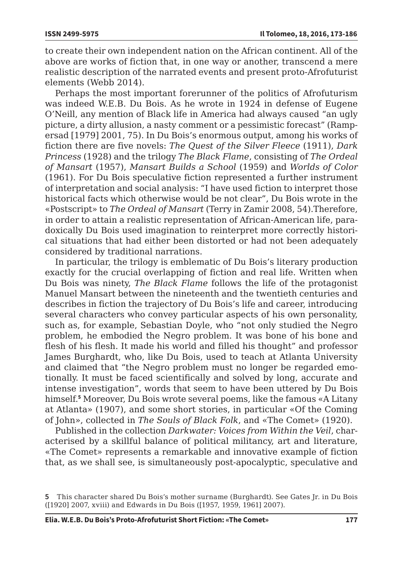to create their own independent nation on the African continent. All of the above are works of fiction that, in one way or another, transcend a mere realistic description of the narrated events and present proto-Afrofuturist elements (Webb 2014).

Perhaps the most important forerunner of the politics of Afrofuturism was indeed W.E.B. Du Bois. As he wrote in 1924 in defense of Eugene O'Neill, any mention of Black life in America had always caused "an ugly picture, a dirty allusion, a nasty comment or a pessimistic forecast" (Rampersad [1979] 2001, 75). In Du Bois's enormous output, among his works of fiction there are five novels: *The Quest of the Silver Fleece* (1911), *Dark Princess* (1928) and the trilogy *The Black Flame*, consisting of *The Ordeal of Mansart* (1957), *Mansart Builds a School* (1959) and *Worlds of Color*  (1961). For Du Bois speculative fiction represented a further instrument of interpretation and social analysis: "I have used fiction to interpret those historical facts which otherwise would be not clear", Du Bois wrote in the «Postscript» to *The Ordeal of Mansart* (Terry in Zamir 2008, 54).Therefore, in order to attain a realistic representation of African-American life, paradoxically Du Bois used imagination to reinterpret more correctly historical situations that had either been distorted or had not been adequately considered by traditional narrations.

In particular, the trilogy is emblematic of Du Bois's literary production exactly for the crucial overlapping of fiction and real life. Written when Du Bois was ninety, *The Black Flame* follows the life of the protagonist Manuel Mansart between the nineteenth and the twentieth centuries and describes in fiction the trajectory of Du Bois's life and career, introducing several characters who convey particular aspects of his own personality, such as, for example, Sebastian Doyle, who "not only studied the Negro problem, he embodied the Negro problem. It was bone of his bone and flesh of his flesh. It made his world and filled his thought" and professor James Burghardt, who, like Du Bois, used to teach at Atlanta University and claimed that "the Negro problem must no longer be regarded emotionally. It must be faced scientifically and solved by long, accurate and intense investigation", words that seem to have been uttered by Du Bois himself.**<sup>5</sup>** Moreover, Du Bois wrote several poems, like the famous «A Litany at Atlanta» (1907), and some short stories, in particular «Of the Coming of John», collected in *The Souls of Black Folk*, and «The Comet» (1920).

Published in the collection *Darkwater: Voices from Within the Veil*, characterised by a skillful balance of political militancy, art and literature, «The Comet» represents a remarkable and innovative example of fiction that, as we shall see, is simultaneously post-apocalyptic, speculative and

**<sup>5</sup>** This character shared Du Bois's mother surname (Burghardt). See Gates Jr. in Du Bois ([1920] 2007, xviii) and Edwards in Du Bois ([1957, 1959, 1961] 2007).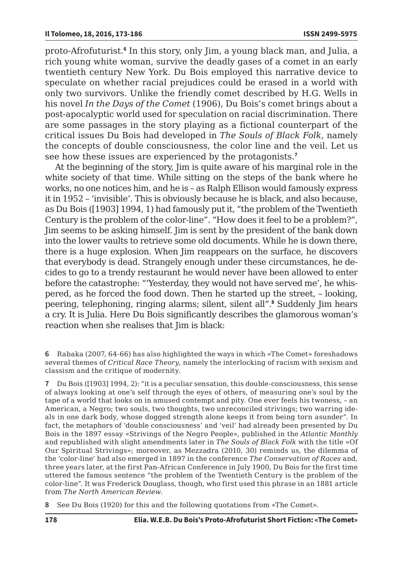proto-Afrofuturist.**<sup>6</sup>** In this story, only Jim, a young black man, and Julia, a rich young white woman, survive the deadly gases of a comet in an early twentieth century New York. Du Bois employed this narrative device to speculate on whether racial prejudices could be erased in a world with only two survivors. Unlike the friendly comet described by H.G. Wells in his novel *In the Days of the Comet* (1906), Du Bois's comet brings about a post-apocalyptic world used for speculation on racial discrimination. There are some passages in the story playing as a fictional counterpart of the critical issues Du Bois had developed in *The Souls of Black Folk*, namely the concepts of double consciousness, the color line and the veil. Let us see how these issues are experienced by the protagonists.**<sup>7</sup>**

At the beginning of the story, Jim is quite aware of his marginal role in the white society of that time. While sitting on the steps of the bank where he works, no one notices him, and he is – as Ralph Ellison would famously express it in 1952 – 'invisible'. This is obviously because he is black, and also because, as Du Bois ([1903] 1994, 1) had famously put it, "the problem of the Twentieth Century is the problem of the color-line". "How does it feel to be a problem?", Jim seems to be asking himself. Jim is sent by the president of the bank down into the lower vaults to retrieve some old documents. While he is down there, there is a huge explosion. When Jim reappears on the surface, he discovers that everybody is dead. Strangely enough under these circumstances, he decides to go to a trendy restaurant he would never have been allowed to enter before the catastrophe: "'Yesterday, they would not have served me', he whispered, as he forced the food down. Then he started up the street, – looking, peering, telephoning, ringing alarms; silent, silent all".**<sup>8</sup>** Suddenly Jim hears a cry. It is Julia. Here Du Bois significantly describes the glamorous woman's reaction when she realises that Jim is black:

**8** See Du Bois (1920) for this and the following quotations from «The Comet».

**<sup>6</sup>** Rabaka (2007, 64-66) has also highlighted the ways in which «The Comet» foreshadows several themes of *Critical Race Theory*, namely the interlocking of racism with sexism and classism and the critique of modernity.

**<sup>7</sup>** Du Bois ([1903] 1994, 2): "it is a peculiar sensation, this double-consciousness, this sense of always looking at one's self through the eyes of others, of measuring one's soul by the tape of a world that looks on in amused contempt and pity. One ever feels his twoness, – an American, a Negro; two souls, two thoughts, two unreconciled strivings; two warring ideals in one dark body, whose dogged strength alone keeps it from being torn asunder". In fact, the metaphors of 'double consciousness' and 'veil' had already been presented by Du Bois in the 1897 essay «Strivings of the Negro People», published in the *Atlantic Monthly*  and republished with slight amendments later in *The Souls of Black Folk* with the title «Of Our Spiritual Strivings»; moreover, as Mezzadra (2010, 30) reminds us, the dilemma of the 'color-line' had also emerged in 1897 in the conference *The Conservation of Races* and, three years later, at the first Pan-African Conference in July 1900, Du Bois for the first time uttered the famous sentence "the problem of the Twentieth Century is the problem of the color-line". It was Frederick Douglass, though, who first used this phrase in an 1881 article from *The North American Review*.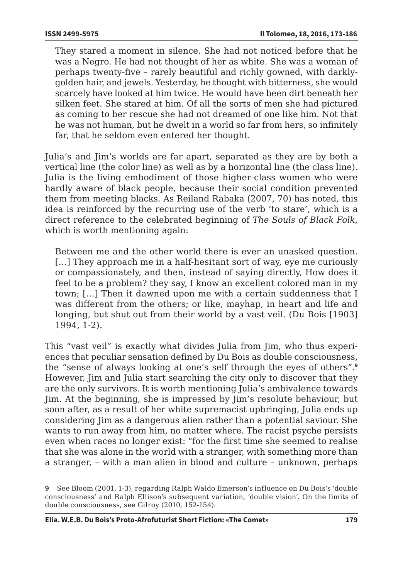They stared a moment in silence. She had not noticed before that he was a Negro. He had not thought of her as white. She was a woman of perhaps twenty-five – rarely beautiful and richly gowned, with darklygolden hair, and jewels. Yesterday, he thought with bitterness, she would scarcely have looked at him twice. He would have been dirt beneath her silken feet. She stared at him. Of all the sorts of men she had pictured as coming to her rescue she had not dreamed of one like him. Not that he was not human, but he dwelt in a world so far from hers, so infinitely far, that he seldom even entered her thought.

Julia's and Jim's worlds are far apart, separated as they are by both a vertical line (the color line) as well as by a horizontal line (the class line). Julia is the living embodiment of those higher-class women who were hardly aware of black people, because their social condition prevented them from meeting blacks. As Reiland Rabaka (2007, 70) has noted, this idea is reinforced by the recurring use of the verb 'to stare', which is a direct reference to the celebrated beginning of *The Souls of Black Folk*, which is worth mentioning again:

Between me and the other world there is ever an unasked question. [...] They approach me in a half-hesitant sort of way, eye me curiously or compassionately, and then, instead of saying directly, How does it feel to be a problem? they say, I know an excellent colored man in my town; […] Then it dawned upon me with a certain suddenness that I was different from the others; or like, mayhap, in heart and life and longing, but shut out from their world by a vast veil. (Du Bois [1903] 1994, 1-2).

This "vast veil" is exactly what divides Julia from Jim, who thus experiences that peculiar sensation defined by Du Bois as double consciousness, the "sense of always looking at one's self through the eyes of others".**<sup>9</sup>** However, Jim and Julia start searching the city only to discover that they are the only survivors. It is worth mentioning Julia's ambivalence towards Jim. At the beginning, she is impressed by Jim's resolute behaviour, but soon after, as a result of her white supremacist upbringing, Julia ends up considering Jim as a dangerous alien rather than a potential saviour. She wants to run away from him, no matter where. The racist psyche persists even when races no longer exist: "for the first time she seemed to realise that she was alone in the world with a stranger, with something more than a stranger, – with a man alien in blood and culture – unknown, perhaps

**<sup>9</sup>** See Bloom (2001, 1-3), regarding Ralph Waldo Emerson's influence on Du Bois's 'double consciousness' and Ralph Ellison's subsequent variation, 'double vision'. On the limits of double consciousness, see Gilroy (2010, 152-154).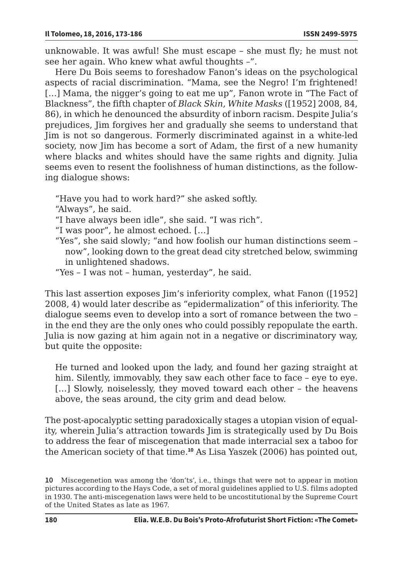unknowable. It was awful! She must escape – she must fly; he must not see her again. Who knew what awful thoughts –".

Here Du Bois seems to foreshadow Fanon's ideas on the psychological aspects of racial discrimination. "Mama, see the Negro! I'm frightened! [...] Mama, the nigger's going to eat me up", Fanon wrote in "The Fact of Blackness", the fifth chapter of *Black Skin, White Masks* ([1952] 2008, 84, 86), in which he denounced the absurdity of inborn racism. Despite Julia's prejudices, Jim forgives her and gradually she seems to understand that Jim is not so dangerous. Formerly discriminated against in a white-led society, now Jim has become a sort of Adam, the first of a new humanity where blacks and whites should have the same rights and dignity. Julia seems even to resent the foolishness of human distinctions, as the following dialogue shows:

"Have you had to work hard?" she asked softly.

"Always", he said.

"I have always been idle", she said. "I was rich".

"I was poor", he almost echoed. […]

- "Yes", she said slowly; "and how foolish our human distinctions seem now", looking down to the great dead city stretched below, swimming in unlightened shadows.
- "Yes I was not human, yesterday", he said.

This last assertion exposes Jim's inferiority complex, what Fanon ([1952] 2008, 4) would later describe as "epidermalization" of this inferiority. The dialogue seems even to develop into a sort of romance between the two – in the end they are the only ones who could possibly repopulate the earth. Julia is now gazing at him again not in a negative or discriminatory way, but quite the opposite:

He turned and looked upon the lady, and found her gazing straight at him. Silently, immovably, they saw each other face to face – eye to eye. [...] Slowly, noiselessly, they moved toward each other - the heavens above, the seas around, the city grim and dead below.

The post-apocalyptic setting paradoxically stages a utopian vision of equality, wherein Julia's attraction towards Jim is strategically used by Du Bois to address the fear of miscegenation that made interracial sex a taboo for the American society of that time.**<sup>10</sup>** As Lisa Yaszek (2006) has pointed out,

**<sup>10</sup>** Miscegenetion was among the 'don'ts', i.e., things that were not to appear in motion pictures according to the Hays Code, a set of moral guidelines applied to U.S. films adopted in 1930. The anti-miscegenation laws were held to be uncostitutional by the Supreme Court of the United States as late as 1967.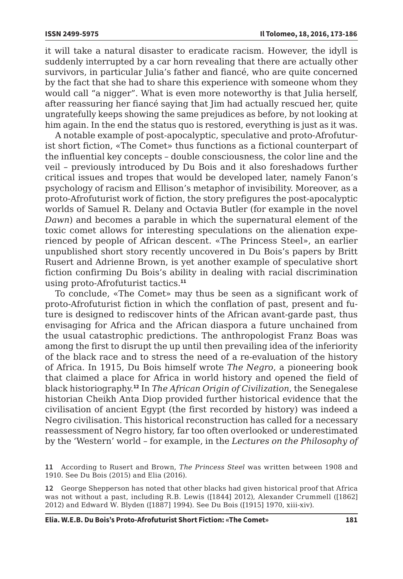it will take a natural disaster to eradicate racism. However, the idyll is suddenly interrupted by a car horn revealing that there are actually other survivors, in particular Julia's father and fiancé, who are quite concerned by the fact that she had to share this experience with someone whom they would call "a nigger". What is even more noteworthy is that Julia herself, after reassuring her fiancé saying that Jim had actually rescued her, quite ungratefully keeps showing the same prejudices as before, by not looking at him again. In the end the status quo is restored, everything is just as it was.

A notable example of post-apocalyptic, speculative and proto-Afrofuturist short fiction, «The Comet» thus functions as a fictional counterpart of the influential key concepts – double consciousness, the color line and the veil – previously introduced by Du Bois and it also foreshadows further critical issues and tropes that would be developed later, namely Fanon's psychology of racism and Ellison's metaphor of invisibility. Moreover, as a proto-Afrofuturist work of fiction, the story prefigures the post-apocalyptic worlds of Samuel R. Delany and Octavia Butler (for example in the novel *Dawn*) and becomes a parable in which the supernatural element of the toxic comet allows for interesting speculations on the alienation experienced by people of African descent. «The Princess Steel», an earlier unpublished short story recently uncovered in Du Bois's papers by Britt Rusert and Adrienne Brown, is yet another example of speculative short fiction confirming Du Bois's ability in dealing with racial discrimination using proto-Afrofuturist tactics.**<sup>11</sup>**

To conclude, «The Comet» may thus be seen as a significant work of proto-Afrofuturist fiction in which the conflation of past, present and future is designed to rediscover hints of the African avant-garde past, thus envisaging for Africa and the African diaspora a future unchained from the usual catastrophic predictions. The anthropologist Franz Boas was among the first to disrupt the up until then prevailing idea of the inferiority of the black race and to stress the need of a re-evaluation of the history of Africa. In 1915, Du Bois himself wrote *The Negro*, a pioneering book that claimed a place for Africa in world history and opened the field of black historiography.**<sup>12</sup>** In *The African Origin of Civilization*, the Senegalese historian Cheikh Anta Diop provided further historical evidence that the civilisation of ancient Egypt (the first recorded by history) was indeed a Negro civilisation. This historical reconstruction has called for a necessary reassessment of Negro history, far too often overlooked or underestimated by the 'Western' world – for example, in the *Lectures on the Philosophy of* 

**<sup>11</sup>** According to Rusert and Brown, *The Princess Steel* was written between 1908 and 1910. See Du Bois (2015) and Elia (2016).

**<sup>12</sup>** George Shepperson has noted that other blacks had given historical proof that Africa was not without a past, including R.B. Lewis ([1844] 2012), Alexander Crummell ([1862] 2012) and Edward W. Blyden ([1887] 1994). See Du Bois ([1915] 1970, xiii-xiv).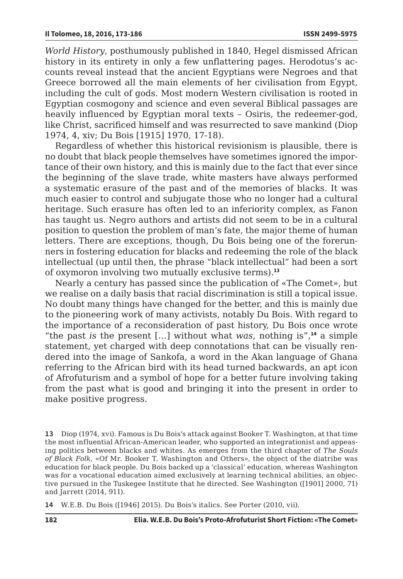*World History*, posthumously published in 1840, Hegel dismissed African history in its entirety in only a few unflattering pages. Herodotus's accounts reveal instead that the ancient Egyptians were Negroes and that Greece borrowed all the main elements of her civilisation from Egypt, including the cult of gods. Most modern Western civilisation is rooted in Egyptian cosmogony and science and even several Biblical passages are heavily influenced by Egyptian moral texts – Osiris, the redeemer-god, like Christ, sacrificed himself and was resurrected to save mankind (Diop 1974, 4, xiv; Du Bois [1915] 1970, 17-18).

Regardless of whether this historical revisionism is plausible, there is no doubt that black people themselves have sometimes ignored the importance of their own history, and this is mainly due to the fact that ever since the beginning of the slave trade, white masters have always performed a systematic erasure of the past and of the memories of blacks. It was much easier to control and subjugate those who no longer had a cultural heritage. Such erasure has often led to an inferiority complex, as Fanon has taught us. Negro authors and artists did not seem to be in a cultural position to question the problem of man's fate, the major theme of human letters. There are exceptions, though, Du Bois being one of the forerunners in fostering education for blacks and redeeming the role of the black intellectual (up until then, the phrase "black intellectual" had been a sort of oxymoron involving two mutually exclusive terms).**<sup>13</sup>**

Nearly a century has passed since the publication of «The Comet», but we realise on a daily basis that racial discrimination is still a topical issue. No doubt many things have changed for the better, and this is mainly due to the pioneering work of many activists, notably Du Bois. With regard to the importance of a reconsideration of past history, Du Bois once wrote "the past *is* the present […] without what *was*, nothing is",**<sup>14</sup>** a simple statement, yet charged with deep connotations that can be visually rendered into the image of Sankofa, a word in the Akan language of Ghana referring to the African bird with its head turned backwards, an apt icon of Afrofuturism and a symbol of hope for a better future involving taking from the past what is good and bringing it into the present in order to make positive progress.

**13** Diop (1974, xvi). Famous is Du Bois's attack against Booker T. Washington, at that time the most influential African-American leader, who supported an integrationist and appeasing politics between blacks and whites. As emerges from the third chapter of *The Souls of Black Folk*, «Of Mr. Booker T. Washington and Others», the object of the diatribe was education for black people. Du Bois backed up a 'classical' education, whereas Washington was for a vocational education aimed exclusively at learning technical abilities, an objective pursued in the Tuskegee Institute that he directed. See Washington ([1901] 2000, 71) and Jarrett (2014, 911).

**14** W.E.B. Du Bois ([1946] 2015). Du Bois's italics. See Porter (2010, vii).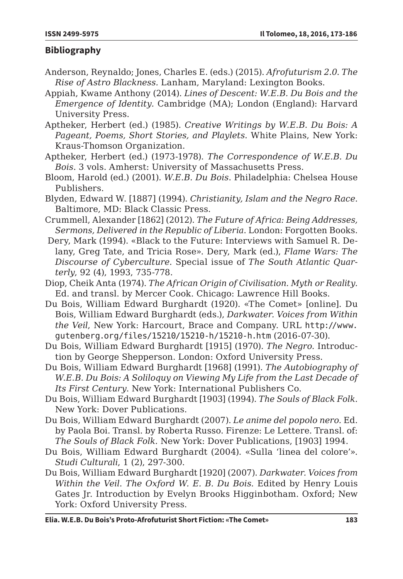## **Bibliography**

- Anderson, Reynaldo; Jones, Charles E. (eds.) (2015). *Afrofuturism 2.0. The Rise of Astro Blackness.* Lanham, Maryland: Lexington Books.
- Appiah, Kwame Anthony (2014). *Lines of Descent: W.E.B. Du Bois and the Emergence of Identity.* Cambridge (MA); London (England): Harvard University Press.
- Aptheker, Herbert (ed.) (1985). *Creative Writings by W.E.B. Du Bois: A Pageant, Poems, Short Stories, and Playlets*. White Plains, New York: Kraus-Thomson Organization.
- Aptheker, Herbert (ed.) (1973-1978). *The Correspondence of W.E.B. Du Bois*. 3 vols. Amherst: University of Massachusetts Press.
- Bloom, Harold (ed.) (2001). *W.E.B. Du Bois*. Philadelphia: Chelsea House Publishers.
- Blyden, Edward W. [1887] (1994). *Christianity, Islam and the Negro Race*. Baltimore, MD: Black Classic Press.
- Crummell, Alexander [1862] (2012). *The Future of Africa: Being Addresses, Sermons, Delivered in the Republic of Liberia*. London: Forgotten Books.
- Dery, Mark (1994). «Black to the Future: Interviews with Samuel R. Delany, Greg Tate, and Tricia Rose». Dery, Mark (ed.), *Flame Wars: The Discourse of Cyberculture*. Special issue of *The South Atlantic Quarterly*, 92 (4), 1993, 735-778.
- Diop, Cheik Anta (1974). *The African Origin of Civilisation. Myth or Reality.*  Ed. and transl. by Mercer Cook. Chicago: Lawrence Hill Books.
- Du Bois, William Edward Burghardt (1920). «The Comet» [online]. Du Bois, William Edward Burghardt (eds.), *Darkwater. Voices from Within the Veil*, New York: Harcourt, Brace and Company. URL [http://www.](http://www.gutenberg.org/files/15210/15210-h/15210-h.htm) [gutenberg.org/files/15210/15210-h/15210-h.htm](http://www.gutenberg.org/files/15210/15210-h/15210-h.htm) (2016-07-30).
- Du Bois, William Edward Burghardt [1915] (1970). *The Negro.* Introduction by George Shepperson. London: Oxford University Press.
- Du Bois, William Edward Burghardt [1968] (1991). *The Autobiography of W.E.B. Du Bois: A Soliloquy on Viewing My Life from the Last Decade of Its First Century*. New York: International Publishers Co.
- Du Bois, William Edward Burghardt [1903] (1994). *The Souls of Black Folk*. New York: Dover Publications.
- Du Bois, William Edward Burghardt (2007). *Le anime del popolo nero.* Ed. by Paola Boi. Transl. by Roberta Russo. Firenze: Le Lettere. Transl. of: *The Souls of Black Folk.* New York: Dover Publications, [1903] 1994.
- Du Bois, William Edward Burghardt (2004). «Sulla 'linea del colore'». *Studi Culturali*, 1 (2), 297-300.
- Du Bois, William Edward Burghardt [1920] (2007). *Darkwater. Voices from Within the Veil*. *The Oxford W. E. B. Du Bois.* Edited by Henry Louis Gates Jr. Introduction by Evelyn Brooks Higginbotham. Oxford; New York: Oxford University Press.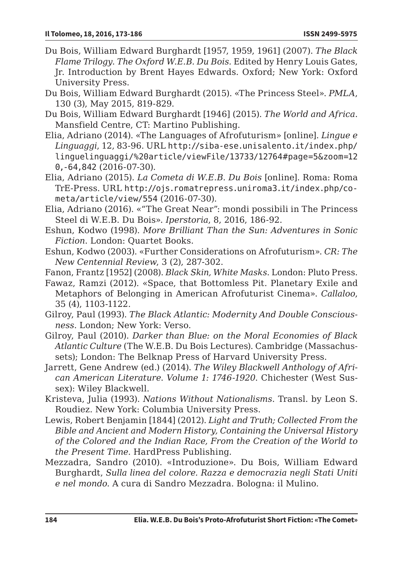- Du Bois, William Edward Burghardt [1957, 1959, 1961] (2007). *The Black Flame Trilogy*. *The Oxford W.E.B. Du Bois.* Edited by Henry Louis Gates, Jr. Introduction by Brent Hayes Edwards. Oxford; New York: Oxford University Press.
- Du Bois, William Edward Burghardt (2015). «The Princess Steel». *PMLA*, 130 (3), May 2015, 819-829.
- Du Bois, William Edward Burghardt [1946] (2015). *The World and Africa*. Mansfield Centre, CT: Martino Publishing.
- Elia, Adriano (2014). «The Languages of Afrofuturism» [online]. *Lingue e Linguaggi*, 12, 83-96. URL [http://siba-ese.unisalento.it/index.php/](http://siba-ese.unisalento.it/index.php/linguelinguaggi/%20article/viewFile/13733/12764#page=5&zoom=120,-64,842) [linguelinguaggi/%20article/viewFile/13733/12764#page=5&zoom=12](http://siba-ese.unisalento.it/index.php/linguelinguaggi/%20article/viewFile/13733/12764#page=5&zoom=120,-64,842) [0,-64,842](http://siba-ese.unisalento.it/index.php/linguelinguaggi/%20article/viewFile/13733/12764#page=5&zoom=120,-64,842) (2016-07-30).
- Elia, Adriano (2015). *La Cometa di W.E.B. Du Bois* [online]. Roma: Roma TrE-Press. URL [http://ojs.romatrepress.uniroma3.it/index.php/co](http://ojs.romatrepress.uniroma3.it/index.php/cometa/article/view/554)[meta/article/view/554](http://ojs.romatrepress.uniroma3.it/index.php/cometa/article/view/554) (2016-07-30).
- Elia, Adriano (2016). «"The Great Near": mondi possibili in The Princess Steel di W.E.B. Du Bois». *Iperstoria*, 8, 2016, 186-92.
- Eshun, Kodwo (1998). *More Brilliant Than the Sun: Adventures in Sonic Fiction*. London: Quartet Books.
- Eshun, Kodwo (2003). «Further Considerations on Afrofuturism». *CR: The New Centennial Review*, 3 (2), 287-302.
- Fanon, Frantz [1952] (2008). *Black Skin, White Masks*. London: Pluto Press.
- Fawaz, Ramzi (2012). «Space, that Bottomless Pit. Planetary Exile and Metaphors of Belonging in American Afrofuturist Cinema». *Callaloo*, 35 (4), 1103-1122.
- Gilroy, Paul (1993). *The Black Atlantic: Modernity And Double Consciousness*. London; New York: Verso.
- Gilroy, Paul (2010). *Darker than Blue: on the Moral Economies of Black Atlantic Culture* (The W.E.B. Du Bois Lectures). Cambridge (Massachussets); London: The Belknap Press of Harvard University Press.
- Jarrett, Gene Andrew (ed.) (2014). *The Wiley Blackwell Anthology of African American Literature*. *Volume 1: 1746-1920*. Chichester (West Sussex): Wiley Blackwell.
- Kristeva, Julia (1993). *Nations Without Nationalisms*. Transl. by Leon S. Roudiez. New York: Columbia University Press.
- Lewis, Robert Benjamin [1844] (2012). *Light and Truth; Collected From the Bible and Ancient and Modern History, Containing the Universal History of the Colored and the Indian Race, From the Creation of the World to the Present Time*. HardPress Publishing.
- Mezzadra, Sandro (2010). «Introduzione». Du Bois, William Edward Burghardt, *Sulla linea del colore. Razza e democrazia negli Stati Uniti e nel mondo.* A cura di Sandro Mezzadra. Bologna: il Mulino.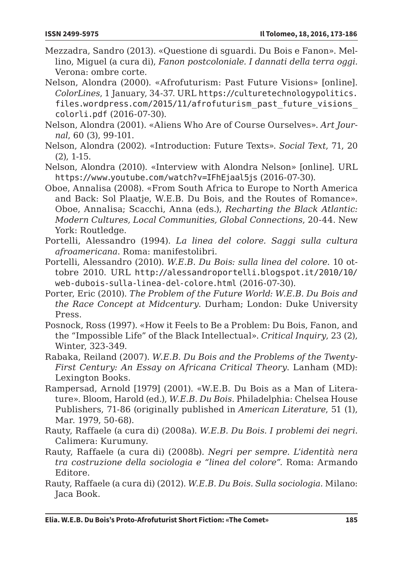- Mezzadra, Sandro (2013). «Questione di sguardi. Du Bois e Fanon». Mellino, Miguel (a cura di), *Fanon postcoloniale. I dannati della terra oggi.*  Verona: ombre corte.
- Nelson, Alondra (2000). «Afrofuturism: Past Future Visions» [online]. *ColorLines*, 1 January, 34-37. URL [https://culturetechnologypolitics.](https://culturetechnologypolitics.files.wordpress.com/2015/11/afrofuturism_past_future_visions_colorli.pdf) [files.wordpress.com/2015/11/afrofuturism\\_past\\_future\\_visions\\_](https://culturetechnologypolitics.files.wordpress.com/2015/11/afrofuturism_past_future_visions_colorli.pdf) [colorli.pdf](https://culturetechnologypolitics.files.wordpress.com/2015/11/afrofuturism_past_future_visions_colorli.pdf) (2016-07-30).
- Nelson, Alondra (2001). «Aliens Who Are of Course Ourselves». *Art Journal*, 60 (3), 99-101.
- Nelson, Alondra (2002). «Introduction: Future Texts». *Social Text*, 71, 20 (2), 1-15.
- Nelson, Alondra (2010). «Interview with Alondra Nelson» [online]. URL <https://www.youtube.com/watch?v=IFhEjaal5js> (2016-07-30).
- Oboe, Annalisa (2008). «From South Africa to Europe to North America and Back: Sol Plaatje, W.E.B. Du Bois, and the Routes of Romance». Oboe, Annalisa; Scacchi, Anna (eds.), *Recharting the Black Atlantic: Modern Cultures, Local Communities, Global Connections*, 20-44. New York: Routledge.
- Portelli, Alessandro (1994). *La linea del colore. Saggi sulla cultura afroamericana*. Roma: manifestolibri.
- Portelli, Alessandro (2010). *W.E.B. Du Bois: sulla linea del colore*. 10 ottobre 2010. URL [http://alessandroportelli.blogspot.it/2010/10/](http://alessandroportelli.blogspot.it/2010/10/web-dubois-sulla-linea-del-colore.html) [web-dubois-sulla-linea-del-colore.html](http://alessandroportelli.blogspot.it/2010/10/web-dubois-sulla-linea-del-colore.html) (2016-07-30).
- Porter, Eric (2010). *The Problem of the Future World: W.E.B. Du Bois and the Race Concept at Midcentury*. Durham; London: Duke University Press.
- Posnock, Ross (1997). «How it Feels to Be a Problem: Du Bois, Fanon, and the "Impossible Life" of the Black Intellectual». *Critical Inquiry*, 23 (2), Winter, 323-349.
- Rabaka, Reiland (2007). *W.E.B. Du Bois and the Problems of the Twenty-First Century: An Essay on Africana Critical Theory*. Lanham (MD): Lexington Books.
- Rampersad, Arnold [1979] (2001). «W.E.B. Du Bois as a Man of Literature». Bloom, Harold (ed.), *W.E.B. Du Bois*. Philadelphia: Chelsea House Publishers, 71-86 (originally published in *American Literature*, 51 (1), Mar. 1979, 50-68).
- Rauty, Raffaele (a cura di) (2008a). *W.E.B. Du Bois. I problemi dei negri*. Calimera: Kurumuny.
- Rauty, Raffaele (a cura di) (2008b). *Negri per sempre. L'identità nera tra costruzione della sociologia e "linea del colore".* Roma: Armando Editore.
- Rauty, Raffaele (a cura di) (2012). *W.E.B. Du Bois. Sulla sociologia*. Milano: Jaca Book.